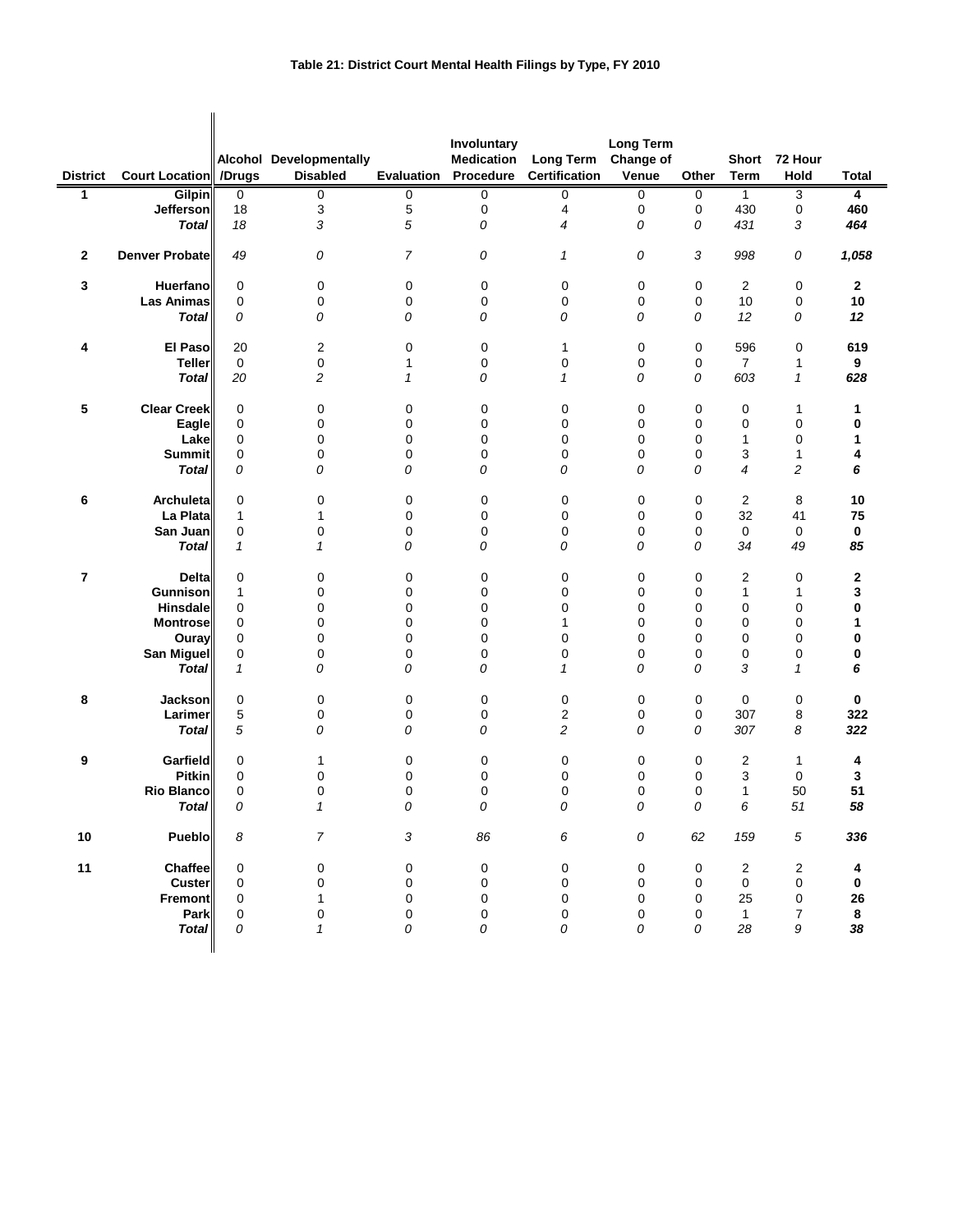## **Table 21: District Court Mental Health Filings by Type, FY 2010**

|                 |                       |                     |                         |                | Involuntary       |                      | <b>Long Term</b> |             |                |                  |              |
|-----------------|-----------------------|---------------------|-------------------------|----------------|-------------------|----------------------|------------------|-------------|----------------|------------------|--------------|
|                 |                       |                     | Alcohol Developmentally |                | <b>Medication</b> | <b>Long Term</b>     | Change of        |             | Short          | 72 Hour          |              |
| <b>District</b> | Court Location        | /Drugs              | <b>Disabled</b>         | Evaluation     | Procedure         | <b>Certification</b> | Venue            | Other       | <b>Term</b>    | Hold             | Total        |
| 1               | Gilpin                | 0                   | 0                       | 0              | 0                 | 0                    | 0                | 0           | $\mathbf{1}$   | 3                | 4            |
|                 | Jefferson             | 18                  | 3                       | 5              | 0                 | 4                    | 0                | 0           | 430            | 0                | 460          |
|                 | <b>Total</b>          | 18                  | 3                       | 5              | 0                 | 4                    | 0                | 0           | 431            | 3                | 464          |
| 2               | <b>Denver Probate</b> | 49                  | 0                       | $\overline{7}$ | 0                 | 1                    | 0                | 3           | 998            | 0                | 1,058        |
| 3               | Huerfano              | $\mathbf 0$         | 0                       | 0              | 0                 | 0                    | 0                | $\mathbf 0$ | $\overline{2}$ | $\pmb{0}$        | $\mathbf{2}$ |
|                 | Las Animas            | $\mathbf 0$         | 0                       | 0              | 0                 | 0                    | 0                | 0           | 10             | 0                | 10           |
|                 | <b>Total</b>          | 0                   | 0                       | 0              | 0                 | 0                    | 0                | 0           | 12             | 0                | 12           |
| 4               | <b>El Paso</b>        | 20                  | 2                       | 0              | 0                 | 1                    | 0                | 0           | 596            | $\pmb{0}$        | 619          |
|                 | <b>Teller</b>         | $\mathsf{O}\xspace$ | 0                       | 1              | 0                 | $\pmb{0}$            | 0                | $\mathbf 0$ | $\overline{7}$ | 1                | 9            |
|                 | <b>Total</b>          | 20                  | 2                       | 1              | 0                 | $\mathbf{1}$         | 0                | 0           | 603            | $\mathbf{1}$     | 628          |
| 5               | <b>Clear Creek</b>    | 0                   | 0                       | 0              | 0                 | 0                    | 0                | 0           | 0              | 1                | 1            |
|                 | Eagle                 | $\mathbf 0$         | 0                       | 0              | $\mathbf 0$       | 0                    | 0                | 0           | $\mathbf 0$    | $\pmb{0}$        | 0            |
|                 | Lake                  | 0                   | 0                       | 0              | 0                 | 0                    | 0                | 0           | 1              | $\mathbf 0$      | 1            |
|                 | <b>Summit</b>         | 0                   | 0                       | 0              | 0                 | 0                    | 0                | 0           | 3              | 1                | 4            |
|                 | <b>Total</b>          | 0                   | 0                       | 0              | 0                 | 0                    | 0                | 0           | $\overline{4}$ | 2                | 6            |
| 6               | Archuleta             | $\mathbf 0$         | 0                       | 0              | 0                 | 0                    | 0                | 0           | $\overline{c}$ | 8                | 10           |
|                 | La Plata              | $\mathbf{1}$        | $\mathbf{1}$            | 0              | $\mathbf 0$       | 0                    | 0                | 0           | 32             | 41               | 75           |
|                 | San Juan              | $\mathbf 0$         | 0                       | $\mathbf 0$    | $\mathbf 0$       | $\mathbf 0$          | 0                | 0           | 0              | 0                | 0            |
|                 | <b>Total</b>          | $\mathbf{1}$        | 1                       | 0              | 0                 | 0                    | 0                | 0           | 34             | 49               | 85           |
| 7               | <b>Delta</b>          | $\mathbf 0$         | 0                       | 0              | 0                 | 0                    | 0                | 0           | $\overline{c}$ | 0                | 2            |
|                 | Gunnison              | 1                   | 0                       | 0              | $\mathbf 0$       | 0                    | 0                | 0           | $\mathbf{1}$   | 1                | 3            |
|                 | Hinsdale              | 0                   | 0                       | 0              | 0                 | 0                    | 0                | 0           | $\mathbf 0$    | $\mathbf 0$      | 0            |
|                 | <b>Montrose</b>       | $\mathbf 0$         | 0                       | $\mathbf 0$    | $\mathbf 0$       | $\mathbf{1}$         | 0                | $\mathbf 0$ | $\mathbf 0$    | $\mathbf 0$      | 1            |
|                 | Ouray                 | $\mathbf 0$         | 0                       | 0              | 0                 | 0                    | 0                | 0           | $\mathbf 0$    | $\mathbf 0$      | 0            |
|                 | <b>San Miguel</b>     | 0                   | 0                       | $\mathbf 0$    | 0                 | 0                    | 0                | 0           | $\pmb{0}$      | $\mathbf 0$      | 0            |
|                 | <b>Total</b>          | $\mathbf{1}$        | 0                       | 0              | 0                 | 1                    | 0                | 0           | 3              | 1                | 6            |
| 8               | Jackson               | 0                   | 0                       | $\mathbf 0$    | 0                 | 0                    | 0                | $\mathbf 0$ | 0              | $\pmb{0}$        | 0            |
|                 | Larimer               | 5                   | 0                       | 0              | 0                 | $\boldsymbol{2}$     | 0                | 0           | 307            | 8                | 322          |
|                 | <b>Total</b>          | 5                   | 0                       | 0              | 0                 | 2                    | 0                | 0           | 307            | 8                | 322          |
| 9               | Garfield              | $\mathbf 0$         | 1                       | 0              | $\mathbf 0$       | 0                    | 0                | 0           | $\overline{c}$ | 1                | 4            |
|                 | <b>Pitkin</b>         | $\mathbf 0$         | 0                       | 0              | $\mathbf 0$       | 0                    | 0                | 0           | 3              | $\mathbf 0$      | 3            |
|                 | Rio Blanco            | $\mathbf 0$         | 0                       | 0              | 0                 | 0                    | 0                | 0           | $\mathbf{1}$   | 50               | 51           |
|                 | <b>Total</b>          | 0                   | 1                       | 0              | 0                 | 0                    | 0                | 0           | 6              | 51               | 58           |
| 10              | Pueblo                | 8                   | $\overline{7}$          | $\mathfrak{Z}$ | 86                | 6                    | ${\cal O}$       | 62          | 159            | $\sqrt{5}$       | 336          |
| 11              | Chaffee               | $\pmb{0}$           | 0                       | $\mathbf 0$    | $\pmb{0}$         | 0                    | 0                | 0           | $\overline{c}$ | $\overline{c}$   | 4            |
|                 | <b>Custer</b>         | $\mathbf 0$         | 0                       | $\pmb{0}$      | 0                 | $\pmb{0}$            | 0                | 0           | 0              | 0                | 0            |
|                 | Fremont               | $\pmb{0}$           | $\mathbf{1}$            | 0              | 0                 | 0                    | 0                | 0           | 25             | 0                | 26           |
|                 | Park                  | $\mathbf 0$         | 0                       | $\mathbf 0$    | $\pmb{0}$         | $\pmb{0}$            | 0                | 0           | $\mathbf{1}$   | $\boldsymbol{7}$ | 8            |
|                 | <b>Total</b>          | 0                   | $\mathbf{1}$            | 0              | 0                 | 0                    | 0                | 0           | 28             | 9                | 38           |